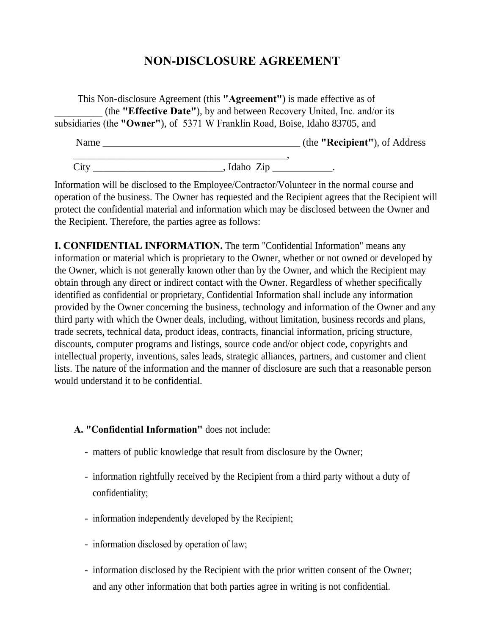## **NON-DISCLOSURE AGREEMENT**

This Non-disclosure Agreement (this **"Agreement"**) is made effective as of \_\_\_\_\_\_\_\_\_\_ (the **"Effective Date"**), by and between Recovery United, Inc. and/or its subsidiaries (the **"Owner"**), of 5371 W Franklin Road, Boise, Idaho 83705, and

| Name |           | (the "Recipient"), of Address |
|------|-----------|-------------------------------|
|      |           |                               |
| City | Idaho Zip |                               |

Information will be disclosed to the Employee/Contractor/Volunteer in the normal course and operation of the business. The Owner has requested and the Recipient agrees that the Recipient will protect the confidential material and information which may be disclosed between the Owner and the Recipient. Therefore, the parties agree as follows:

**I. CONFIDENTIAL INFORMATION.** The term "Confidential Information" means any information or material which is proprietary to the Owner, whether or not owned or developed by the Owner, which is not generally known other than by the Owner, and which the Recipient may obtain through any direct or indirect contact with the Owner. Regardless of whether specifically identified as confidential or proprietary, Confidential Information shall include any information provided by the Owner concerning the business, technology and information of the Owner and any third party with which the Owner deals, including, without limitation, business records and plans, trade secrets, technical data, product ideas, contracts, financial information, pricing structure, discounts, computer programs and listings, source code and/or object code, copyrights and intellectual property, inventions, sales leads, strategic alliances, partners, and customer and client lists. The nature of the information and the manner of disclosure are such that a reasonable person would understand it to be confidential.

## **A. "Confidential Information"** does not include:

- matters of public knowledge that result from disclosure by the Owner;
- information rightfully received by the Recipient from a third party without a duty of confidentiality;
- information independently developed by the Recipient;
- information disclosed by operation of law;
- information disclosed by the Recipient with the prior written consent of the Owner; and any other information that both parties agree in writing is not confidential.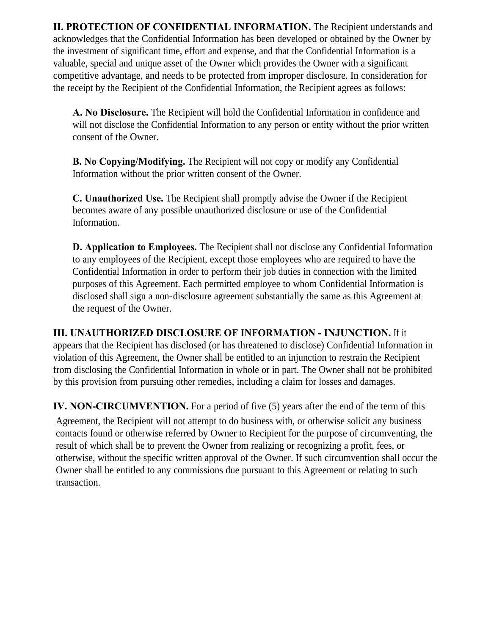**II. PROTECTION OF CONFIDENTIAL INFORMATION.** The Recipient understands and acknowledges that the Confidential Information has been developed or obtained by the Owner by the investment of significant time, effort and expense, and that the Confidential Information is a valuable, special and unique asset of the Owner which provides the Owner with a significant competitive advantage, and needs to be protected from improper disclosure. In consideration for the receipt by the Recipient of the Confidential Information, the Recipient agrees as follows:

**A. No Disclosure.** The Recipient will hold the Confidential Information in confidence and will not disclose the Confidential Information to any person or entity without the prior written consent of the Owner.

**B. No Copying/Modifying.** The Recipient will not copy or modify any Confidential Information without the prior written consent of the Owner.

**C. Unauthorized Use.** The Recipient shall promptly advise the Owner if the Recipient becomes aware of any possible unauthorized disclosure or use of the Confidential Information.

**D. Application to Employees.** The Recipient shall not disclose any Confidential Information to any employees of the Recipient, except those employees who are required to have the Confidential Information in order to perform their job duties in connection with the limited purposes of this Agreement. Each permitted employee to whom Confidential Information is disclosed shall sign a non-disclosure agreement substantially the same as this Agreement at the request of the Owner.

**III. UNAUTHORIZED DISCLOSURE OF INFORMATION - INJUNCTION.** If it appears that the Recipient has disclosed (or has threatened to disclose) Confidential Information in violation of this Agreement, the Owner shall be entitled to an injunction to restrain the Recipient from disclosing the Confidential Information in whole or in part. The Owner shall not be prohibited by this provision from pursuing other remedies, including a claim for losses and damages.

**IV. NON-CIRCUMVENTION.** For a period of five (5) years after the end of the term of this

Agreement, the Recipient will not attempt to do business with, or otherwise solicit any business contacts found or otherwise referred by Owner to Recipient for the purpose of circumventing, the result of which shall be to prevent the Owner from realizing or recognizing a profit, fees, or otherwise, without the specific written approval of the Owner. If such circumvention shall occur the Owner shall be entitled to any commissions due pursuant to this Agreement or relating to such transaction.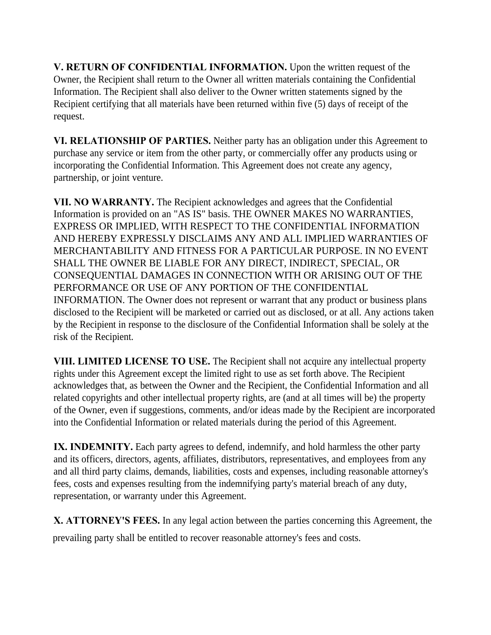**V. RETURN OF CONFIDENTIAL INFORMATION.** Upon the written request of the Owner, the Recipient shall return to the Owner all written materials containing the Confidential Information. The Recipient shall also deliver to the Owner written statements signed by the Recipient certifying that all materials have been returned within five (5) days of receipt of the request.

**VI. RELATIONSHIP OF PARTIES.** Neither party has an obligation under this Agreement to purchase any service or item from the other party, or commercially offer any products using or incorporating the Confidential Information. This Agreement does not create any agency, partnership, or joint venture.

**VII. NO WARRANTY.** The Recipient acknowledges and agrees that the Confidential Information is provided on an "AS IS" basis. THE OWNER MAKES NO WARRANTIES, EXPRESS OR IMPLIED, WITH RESPECT TO THE CONFIDENTIAL INFORMATION AND HEREBY EXPRESSLY DISCLAIMS ANY AND ALL IMPLIED WARRANTIES OF MERCHANTABILITY AND FITNESS FOR A PARTICULAR PURPOSE. IN NO EVENT SHALL THE OWNER BE LIABLE FOR ANY DIRECT, INDIRECT, SPECIAL, OR CONSEQUENTIAL DAMAGES IN CONNECTION WITH OR ARISING OUT OF THE PERFORMANCE OR USE OF ANY PORTION OF THE CONFIDENTIAL INFORMATION. The Owner does not represent or warrant that any product or business plans disclosed to the Recipient will be marketed or carried out as disclosed, or at all. Any actions taken by the Recipient in response to the disclosure of the Confidential Information shall be solely at the risk of the Recipient.

**VIII. LIMITED LICENSE TO USE.** The Recipient shall not acquire any intellectual property rights under this Agreement except the limited right to use as set forth above. The Recipient acknowledges that, as between the Owner and the Recipient, the Confidential Information and all related copyrights and other intellectual property rights, are (and at all times will be) the property of the Owner, even if suggestions, comments, and/or ideas made by the Recipient are incorporated into the Confidential Information or related materials during the period of this Agreement.

**IX. INDEMNITY.** Each party agrees to defend, indemnify, and hold harmless the other party and its officers, directors, agents, affiliates, distributors, representatives, and employees from any and all third party claims, demands, liabilities, costs and expenses, including reasonable attorney's fees, costs and expenses resulting from the indemnifying party's material breach of any duty, representation, or warranty under this Agreement.

**X. ATTORNEY'S FEES.** In any legal action between the parties concerning this Agreement, the prevailing party shall be entitled to recover reasonable attorney's fees and costs.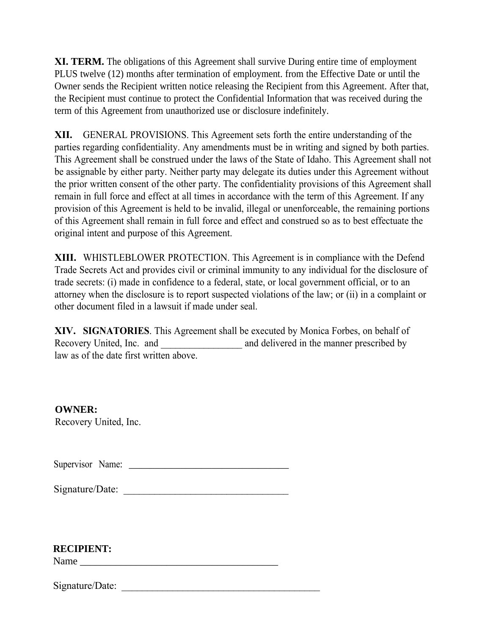**XI. TERM.** The obligations of this Agreement shall survive During entire time of employment PLUS twelve (12) months after termination of employment. from the Effective Date or until the Owner sends the Recipient written notice releasing the Recipient from this Agreement. After that, the Recipient must continue to protect the Confidential Information that was received during the term of this Agreement from unauthorized use or disclosure indefinitely.

**XII.** GENERAL PROVISIONS. This Agreement sets forth the entire understanding of the parties regarding confidentiality. Any amendments must be in writing and signed by both parties. This Agreement shall be construed under the laws of the State of Idaho. This Agreement shall not be assignable by either party. Neither party may delegate its duties under this Agreement without the prior written consent of the other party. The confidentiality provisions of this Agreement shall remain in full force and effect at all times in accordance with the term of this Agreement. If any provision of this Agreement is held to be invalid, illegal or unenforceable, the remaining portions of this Agreement shall remain in full force and effect and construed so as to best effectuate the original intent and purpose of this Agreement.

**XIII.** WHISTLEBLOWER PROTECTION. This Agreement is in compliance with the Defend Trade Secrets Act and provides civil or criminal immunity to any individual for the disclosure of trade secrets: (i) made in confidence to a federal, state, or local government official, or to an attorney when the disclosure is to report suspected violations of the law; or (ii) in a complaint or other document filed in a lawsuit if made under seal.

**XIV. SIGNATORIES**. This Agreement shall be executed by Monica Forbes, on behalf of Recovery United, Inc. and  $\qquad$  and delivered in the manner prescribed by law as of the date first written above.

**OWNER:** Recovery United, Inc.

Supervisor Name: \_\_\_\_\_\_\_\_\_\_\_\_\_\_\_\_\_\_\_\_\_\_\_\_\_\_\_\_\_\_\_

Signature/Date: \_\_\_\_\_\_\_\_\_\_\_\_\_\_\_\_\_\_\_\_\_\_\_\_\_\_\_\_\_\_\_\_

**RECIPIENT:**

 $Name$ 

Signature/Date: